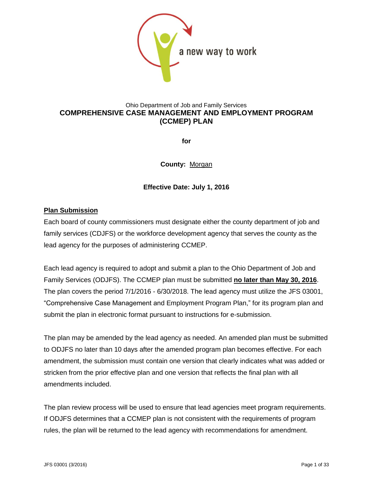

## Ohio Department of Job and Family Services **COMPREHENSIVE CASE MANAGEMENT AND EMPLOYMENT PROGRAM (CCMEP) PLAN**

**for**

**County:** Morgan

## **Effective Date: July 1, 2016**

## **Plan Submission**

Each board of county commissioners must designate either the county department of job and family services (CDJFS) or the workforce development agency that serves the county as the lead agency for the purposes of administering CCMEP.

Each lead agency is required to adopt and submit a plan to the Ohio Department of Job and Family Services (ODJFS). The CCMEP plan must be submitted **no later than May 30, 2016**. The plan covers the period 7/1/2016 - 6/30/2018. The lead agency must utilize the JFS 03001, "Comprehensive Case Management and Employment Program Plan," for its program plan and submit the plan in electronic format pursuant to instructions for e-submission.

The plan may be amended by the lead agency as needed. An amended plan must be submitted to ODJFS no later than 10 days after the amended program plan becomes effective. For each amendment, the submission must contain one version that clearly indicates what was added or stricken from the prior effective plan and one version that reflects the final plan with all amendments included.

The plan review process will be used to ensure that lead agencies meet program requirements. If ODJFS determines that a CCMEP plan is not consistent with the requirements of program rules, the plan will be returned to the lead agency with recommendations for amendment.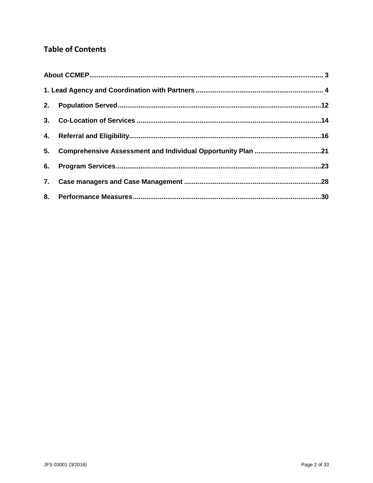# **Table of Contents**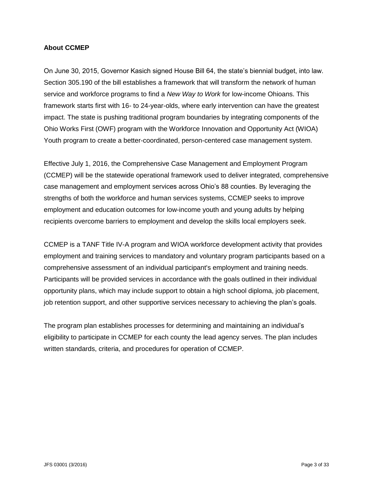## <span id="page-2-0"></span>**About CCMEP**

On June 30, 2015, Governor Kasich signed House Bill 64, the state's biennial budget, into law. Section 305.190 of the bill establishes a framework that will transform the network of human service and workforce programs to find a *New Way to Work* for low-income Ohioans. This framework starts first with 16- to 24-year-olds, where early intervention can have the greatest impact. The state is pushing traditional program boundaries by integrating components of the Ohio Works First (OWF) program with the Workforce Innovation and Opportunity Act (WIOA) Youth program to create a better-coordinated, person-centered case management system.

Effective July 1, 2016, the Comprehensive Case Management and Employment Program (CCMEP) will be the statewide operational framework used to deliver integrated, comprehensive case management and employment services across Ohio's 88 counties. By leveraging the strengths of both the workforce and human services systems, CCMEP seeks to improve employment and education outcomes for low-income youth and young adults by helping recipients overcome barriers to employment and develop the skills local employers seek.

CCMEP is a TANF Title IV-A program and WIOA workforce development activity that provides employment and training services to mandatory and voluntary program participants based on a comprehensive assessment of an individual participant's employment and training needs. Participants will be provided services in accordance with the goals outlined in their individual opportunity plans, which may include support to obtain a high school diploma, job placement, job retention support, and other supportive services necessary to achieving the plan's goals.

The program plan establishes processes for determining and maintaining an individual's eligibility to participate in CCMEP for each county the lead agency serves. The plan includes written standards, criteria, and procedures for operation of CCMEP.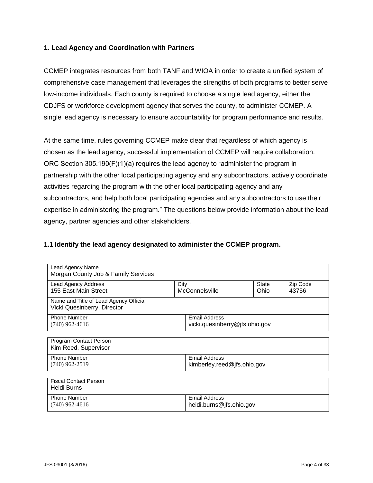## <span id="page-3-0"></span>**1. Lead Agency and Coordination with Partners**

CCMEP integrates resources from both TANF and WIOA in order to create a unified system of comprehensive case management that leverages the strengths of both programs to better serve low-income individuals. Each county is required to choose a single lead agency, either the CDJFS or workforce development agency that serves the county, to administer CCMEP. A single lead agency is necessary to ensure accountability for program performance and results.

At the same time, rules governing CCMEP make clear that regardless of which agency is chosen as the lead agency, successful implementation of CCMEP will require collaboration. ORC Section 305.190(F)(1)(a) requires the lead agency to "administer the program in partnership with the other local participating agency and any subcontractors, actively coordinate activities regarding the program with the other local participating agency and any subcontractors, and help both local participating agencies and any subcontractors to use their expertise in administering the program." The questions below provide information about the lead agency, partner agencies and other stakeholders.

## **1.1 Identify the lead agency designated to administer the CCMEP program.**

| Lead Agency Name<br>Morgan County Job & Family Services               |                                                 |                          |                   |  |
|-----------------------------------------------------------------------|-------------------------------------------------|--------------------------|-------------------|--|
| Lead Agency Address<br>155 East Main Street                           | City<br>McConnelsville                          | <b>State</b><br>Ohio     | Zip Code<br>43756 |  |
| Name and Title of Lead Agency Official<br>Vicki Quesinberry, Director |                                                 |                          |                   |  |
| <b>Phone Number</b><br>$(740)$ 962-4616                               | Email Address<br>vicki.quesinberry@jfs.ohio.gov |                          |                   |  |
| Program Contact Person<br>Kim Reed, Supervisor                        |                                                 |                          |                   |  |
| <b>Phone Number</b><br>$(740)$ 962-2519                               | Email Address<br>kimberley.reed@jfs.ohio.gov    |                          |                   |  |
| <b>Fiscal Contact Person</b><br>Heidi Burns                           |                                                 |                          |                   |  |
| <b>Phone Number</b><br>$(740)$ 962-4616                               | Email Address                                   | heidi.burns@jfs.ohio.gov |                   |  |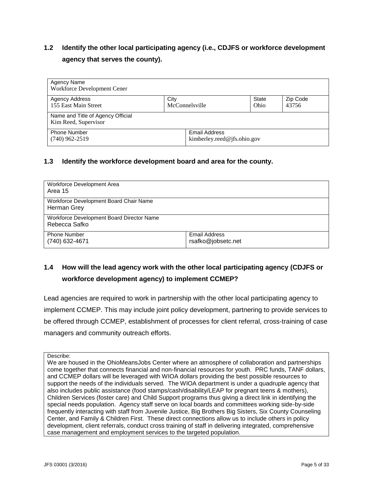# **1.2 Identify the other local participating agency (i.e., CDJFS or workforce development agency that serves the county).**

| Agency Name<br>Workforce Development Cener                |      |                                                     |               |                   |
|-----------------------------------------------------------|------|-----------------------------------------------------|---------------|-------------------|
| <b>Agency Address</b><br>155 East Main Street             | City | McConnelsville                                      | State<br>Ohio | Zip Code<br>43756 |
| Name and Title of Agency Official<br>Kim Reed, Supervisor |      |                                                     |               |                   |
| <b>Phone Number</b><br>$(740)$ 962-2519                   |      | <b>Email Address</b><br>kimberley.reed@jfs.ohio.gov |               |                   |

## **1.3 Identify the workforce development board and area for the county.**

| Workforce Development Area<br>Area 15                      |                                     |
|------------------------------------------------------------|-------------------------------------|
| Workforce Development Board Chair Name<br>Herman Grey      |                                     |
| Workforce Development Board Director Name<br>Rebecca Safko |                                     |
| <b>Phone Number</b><br>(740) 632-4671                      | Email Address<br>rsafko@jobsetc.net |

## **1.4 How will the lead agency work with the other local participating agency (CDJFS or workforce development agency) to implement CCMEP?**

Lead agencies are required to work in partnership with the other local participating agency to implement CCMEP. This may include joint policy development, partnering to provide services to be offered through CCMEP, establishment of processes for client referral, cross-training of case managers and community outreach efforts.

Describe:

We are housed in the OhioMeansJobs Center where an atmosphere of collaboration and partnerships come together that connects financial and non-financial resources for youth. PRC funds, TANF dollars, and CCMEP dollars will be leveraged with WIOA dollars providing the best possible resources to support the needs of the individuals served. The WIOA department is under a quadruple agency that also includes public assistance (food stamps/cash/disability/LEAP for pregnant teens & mothers), Children Services (foster care) and Child Support programs thus giving a direct link in identifying the special needs population. Agency staff serve on local boards and committees working side-by-side frequently interacting with staff from Juvenile Justice, Big Brothers Big Sisters, Six County Counseling Center, and Family & Children First. These direct connections allow us to include others in policy development, client referrals, conduct cross training of staff in delivering integrated, comprehensive case management and employment services to the targeted population.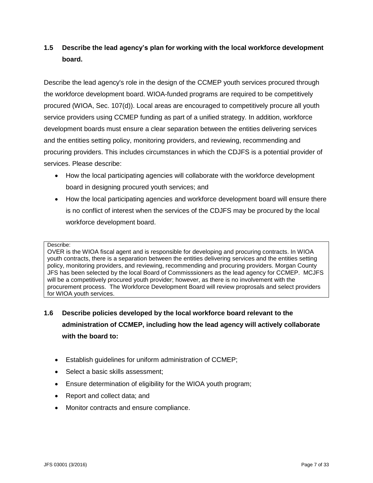# **1.5 Describe the lead agency's plan for working with the local workforce development board.**

Describe the lead agency's role in the design of the CCMEP youth services procured through the workforce development board. WIOA-funded programs are required to be competitively procured (WIOA, Sec. 107(d)). Local areas are encouraged to competitively procure all youth service providers using CCMEP funding as part of a unified strategy. In addition, workforce development boards must ensure a clear separation between the entities delivering services and the entities setting policy, monitoring providers, and reviewing, recommending and procuring providers. This includes circumstances in which the CDJFS is a potential provider of services. Please describe:

- How the local participating agencies will collaborate with the workforce development board in designing procured youth services; and
- How the local participating agencies and workforce development board will ensure there is no conflict of interest when the services of the CDJFS may be procured by the local workforce development board.

#### Describe:

OVER is the WIOA fiscal agent and is responsible for developing and procuring contracts. In WIOA youth contracts, there is a separation between the entities delivering services and the entities setting policy, monitoring providers, and reviewing, recommending and procuring providers. Morgan County JFS has been selected by the local Board of Commisssioners as the lead agency for CCMEP. MCJFS will be a competitively procured youth provider; however, as there is no involvement with the procurement process. The Workforce Development Board will review proprosals and select providers for WIOA youth services.

# **1.6 Describe policies developed by the local workforce board relevant to the administration of CCMEP, including how the lead agency will actively collaborate with the board to:**

- Establish guidelines for uniform administration of CCMEP;
- Select a basic skills assessment:
- Ensure determination of eligibility for the WIOA youth program;
- Report and collect data; and
- Monitor contracts and ensure compliance.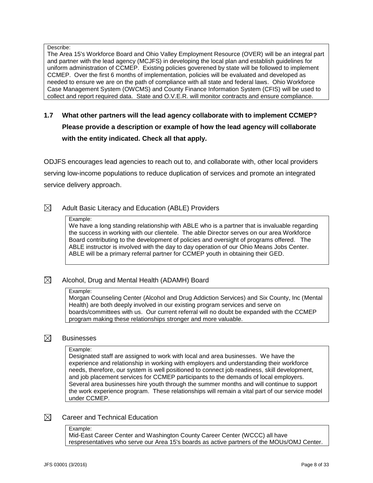The Area 15's Workforce Board and Ohio Valley Employment Resource (OVER) will be an integral part and partner with the lead agency (MCJFS) in developing the local plan and establish guidelines for uniform administration of CCMEP. Existing policies goverened by state will be followed to implement CCMEP. Over the first 6 months of implementation, policies will be evaluated and developed as needed to ensure we are on the path of compliance with all state and federal laws. Ohio Workforce Case Management System (OWCMS) and County Finance Information System (CFIS) will be used to collect and report required data. State and O.V.E.R. will monitor contracts and ensure compliance.

# **1.7 What other partners will the lead agency collaborate with to implement CCMEP? Please provide a description or example of how the lead agency will collaborate with the entity indicated. Check all that apply.**

ODJFS encourages lead agencies to reach out to, and collaborate with, other local providers serving low-income populations to reduce duplication of services and promote an integrated service delivery approach.

#### $\boxtimes$ Adult Basic Literacy and Education (ABLE) Providers

#### Example:

We have a long standing relationship with ABLE who is a partner that is invaluable regarding the success in working with our clientele. The able Director serves on our area Workforce Board contributing to the development of policies and oversight of programs offered. The ABLE instructor is involved with the day to day operation of our Ohio Means Jobs Center. ABLE will be a primary referral partner for CCMEP youth in obtaining their GED.

#### $\boxtimes$ Alcohol, Drug and Mental Health (ADAMH) Board

#### Example:

Morgan Counseling Center (Alcohol and Drug Addiction Services) and Six County, Inc (Mental Health) are both deeply involved in our existing program services and serve on boards/committees with us. Our current referral will no doubt be expanded with the CCMEP program making these relationships stronger and more valuable.

#### ⊠ **Businesses**

#### Example:

Designated staff are assigned to work with local and area businesses. We have the experience and relationship in working with employers and understanding their workforce needs, therefore, our system is well positioned to connect job readiness, skill development, and job placement services for CCMEP participants to the demands of local employers. Several area businesses hire youth through the summer months and will continue to support the work experience program. These relationships will remain a vital part of our service model under CCMEP.

#### $\boxtimes$ Career and Technical Education

#### Example:

Mid-East Career Center and Washington County Career Center (WCCC) all have respresentatives who serve our Area 15's boards as active partners of the MOUs/OMJ Center.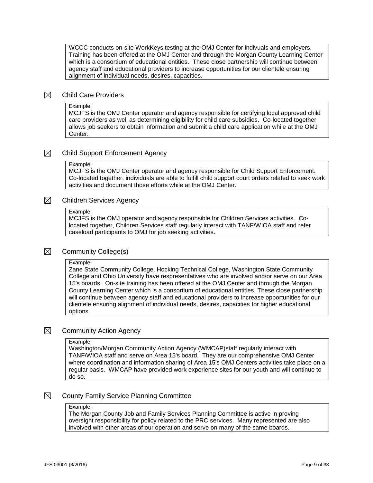WCCC conducts on-site WorkKeys testing at the OMJ Center for indivuals and employers. Training has been offered at the OMJ Center and through the Morgan County Learning Center which is a consortium of educational entities. These close partnership will continue between agency staff and educational providers to increase opportunities for our clientele ensuring alignment of individual needs, desires, capacities.

#### $\boxtimes$ Child Care Providers

#### Example:

MCJFS is the OMJ Center operator and agency responsible for certifying local approved child care providers as well as determining eligibility for child care subsidies. Co-located together allows job seekers to obtain information and submit a child care application while at the OMJ Center.

#### $\boxtimes$ Child Support Enforcement Agency

#### Example:

MCJFS is the OMJ Center operator and agency responsible for Child Support Enforcement. Co-located together, individuals are able to fulfill child support court orders related to seek work activities and document those efforts while at the OMJ Center.

#### $\boxtimes$ Children Services Agency

### Example:

MCJFS is the OMJ operator and agency responsible for Children Services activities. Colocated together, Children Services staff regularly interact with TANF/WIOA staff and refer caseload participants to OMJ for job seeking activities.

#### $\boxtimes$ Community College(s)

#### Example:

Zane State Community College, Hocking Technical College, Washington State Community College and Ohio University have respresentatives who are involved and/or serve on our Area 15's boards. On-site training has been offered at the OMJ Center and through the Morgan County Learning Center which is a consortium of educational entities. These close partnership will continue between agency staff and educational providers to increase opportunities for our clientele ensuring alignment of individual needs, desires, capacities for higher educational options.

#### $\boxtimes$ Community Action Agency

### Example:

Washington/Morgan Community Action Agency (WMCAP)staff regularly interact with TANF/WIOA staff and serve on Area 15's board. They are our comprehensive OMJ Center where coordination and information sharing of Area 15's OMJ Centers activities take place on a regular basis. WMCAP have provided work experience sites for our youth and will continue to do so.

#### $\boxtimes$ County Family Service Planning Committee

#### Example:

The Morgan County Job and Family Services Planning Committee is active in proving oversight responsibility for policy related to the PRC services. Many represented are also involved with other areas of our operation and serve on many of the same boards.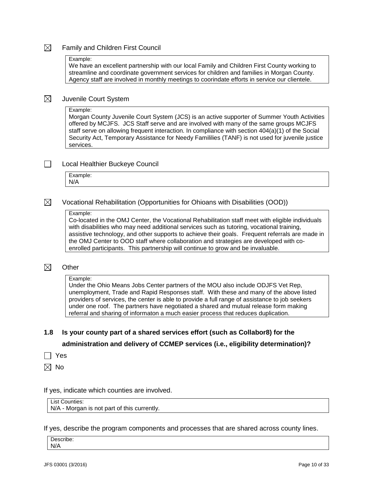#### $\boxtimes$ Family and Children First Council

#### Example:

We have an excellent partnership with our local Family and Children First County working to streamline and coordinate government services for children and families in Morgan County. Agency staff are involved in monthly meetings to coorindate efforts in service our clientele.

#### $\boxtimes$ Juvenile Court System

#### Example:

Morgan County Juvenile Court System (JCS) is an active supporter of Summer Youth Activities offered by MCJFS. JCS Staff serve and are involved with many of the same groups MCJFS staff serve on allowing frequent interaction. In compliance with section 404(a)(1) of the Social Security Act, Temporary Assistance for Needy Famililies (TANF) is not used for juvenile justice services.

### Local Healthier Buckeye Council

Example: N/A

 $\Box$ 

#### $\boxtimes$ Vocational Rehabilitation (Opportunities for Ohioans with Disabilities (OOD))

#### Example:

Co-located in the OMJ Center, the Vocational Rehabilitation staff meet with eligible individuals with disabilities who may need additional services such as tutoring, vocational training, assistive technology, and other supports to achieve their goals. Frequent referrals are made in the OMJ Center to OOD staff where collaboration and strategies are developed with coenrolled participants. This partnership will continue to grow and be invaluable.

#### $\boxtimes$ **Other**

## Example:

Under the Ohio Means Jobs Center partners of the MOU also include ODJFS Vet Rep, unemployment, Trade and Rapid Responses staff. With these and many of the above listed providers of services, the center is able to provide a full range of assistance to job seekers under one roof. The partners have negotiated a shared and mutual release form making referral and sharing of informaton a much easier process that reduces duplication.

# **1.8 Is your county part of a shared services effort (such as Collabor8) for the**

**administration and delivery of CCMEP services (i.e., eligibility determination)?**

Yes

 $\boxtimes$  No

If yes, indicate which counties are involved.

List Counties: N/A - Morgan is not part of this currently.

If yes, describe the program components and processes that are shared across county lines.

| N/A | - |  |
|-----|---|--|
|-----|---|--|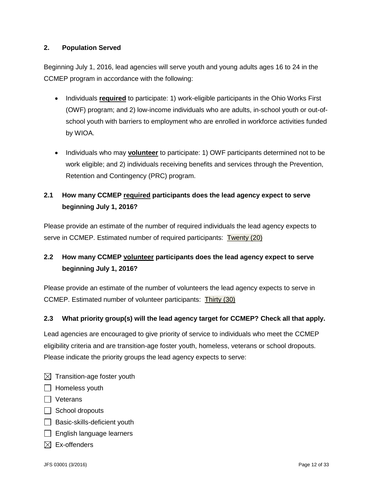## <span id="page-11-0"></span>**2. Population Served**

Beginning July 1, 2016, lead agencies will serve youth and young adults ages 16 to 24 in the CCMEP program in accordance with the following:

- Individuals **required** to participate: 1) work-eligible participants in the Ohio Works First (OWF) program; and 2) low-income individuals who are adults, in-school youth or out-ofschool youth with barriers to employment who are enrolled in workforce activities funded by WIOA.
- Individuals who may **volunteer** to participate: 1) OWF participants determined not to be work eligible; and 2) individuals receiving benefits and services through the Prevention, Retention and Contingency (PRC) program.

## **2.1 How many CCMEP required participants does the lead agency expect to serve beginning July 1, 2016?**

Please provide an estimate of the number of required individuals the lead agency expects to serve in CCMEP. Estimated number of required participants: Twenty (20)

## **2.2 How many CCMEP volunteer participants does the lead agency expect to serve beginning July 1, 2016?**

Please provide an estimate of the number of volunteers the lead agency expects to serve in CCMEP. Estimated number of volunteer participants: Thirty (30)

## **2.3 What priority group(s) will the lead agency target for CCMEP? Check all that apply.**

Lead agencies are encouraged to give priority of service to individuals who meet the CCMEP eligibility criteria and are transition-age foster youth, homeless, veterans or school dropouts. Please indicate the priority groups the lead agency expects to serve:

- $\boxtimes$  Transition-age foster youth
- $\Box$  Homeless youth
- Veterans
- $\Box$  School dropouts
- $\Box$  Basic-skills-deficient youth
- $\Box$  English language learners
- $\boxtimes$  Ex-offenders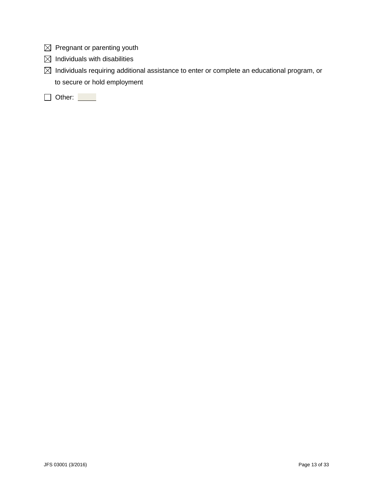- $\boxtimes$  Pregnant or parenting youth
- $\boxtimes$  Individuals with disabilities
- $\boxtimes$  Individuals requiring additional assistance to enter or complete an educational program, or to secure or hold employment

Other: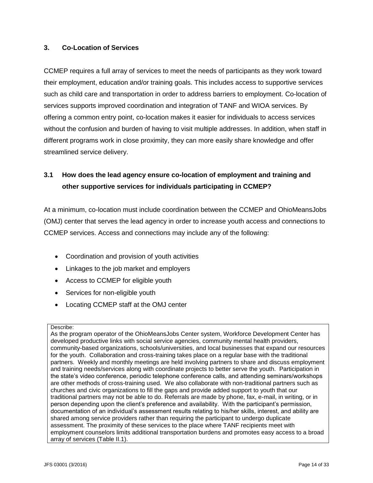## <span id="page-13-0"></span>**3. Co-Location of Services**

CCMEP requires a full array of services to meet the needs of participants as they work toward their employment, education and/or training goals. This includes access to supportive services such as child care and transportation in order to address barriers to employment. Co-location of services supports improved coordination and integration of TANF and WIOA services. By offering a common entry point, co-location makes it easier for individuals to access services without the confusion and burden of having to visit multiple addresses. In addition, when staff in different programs work in close proximity, they can more easily share knowledge and offer streamlined service delivery.

## **3.1 How does the lead agency ensure co-location of employment and training and other supportive services for individuals participating in CCMEP?**

At a minimum, co-location must include coordination between the CCMEP and OhioMeansJobs (OMJ) center that serves the lead agency in order to increase youth access and connections to CCMEP services. Access and connections may include any of the following:

- Coordination and provision of youth activities
- Linkages to the job market and employers
- Access to CCMEP for eligible youth
- Services for non-eligible youth
- Locating CCMEP staff at the OMJ center

#### Describe:

As the program operator of the OhioMeansJobs Center system, Workforce Development Center has developed productive links with social service agencies, community mental health providers, community-based organizations, schools/universities, and local businesses that expand our resources for the youth. Collaboration and cross-training takes place on a regular base with the traditional partners. Weekly and monthly meetings are held involving partners to share and discuss employment and training needs/services along with coordinate projects to better serve the youth. Participation in the state's video conference, periodic telephone conference calls, and attending seminars/workshops are other methods of cross-training used. We also collaborate with non-traditional partners such as churches and civic organizations to fill the gaps and provide added support to youth that our traditional partners may not be able to do. Referrals are made by phone, fax, e-mail, in writing, or in person depending upon the client's preference and availability. With the participant's permission, documentation of an individual's assessment results relating to his/her skills, interest, and ability are shared among service providers rather than requiring the participant to undergo duplicate assessment. The proximity of these services to the place where TANF recipients meet with employment counselors limits additional transportation burdens and promotes easy access to a broad array of services (Table II.1).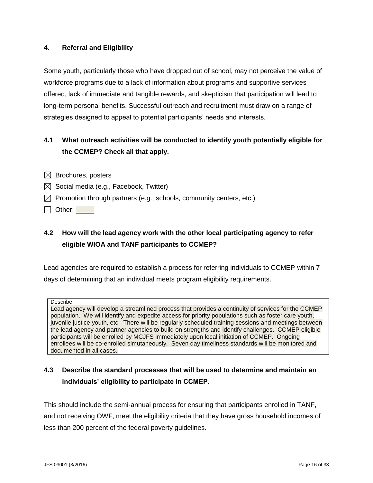## <span id="page-15-0"></span>**4. Referral and Eligibility**

Some youth, particularly those who have dropped out of school, may not perceive the value of workforce programs due to a lack of information about programs and supportive services offered, lack of immediate and tangible rewards, and skepticism that participation will lead to long-term personal benefits. Successful outreach and recruitment must draw on a range of strategies designed to appeal to potential participants' needs and interests.

## **4.1 What outreach activities will be conducted to identify youth potentially eligible for the CCMEP? Check all that apply.**

- $\boxtimes$  Brochures, posters
- $\boxtimes$  Social media (e.g., Facebook, Twitter)
- $\boxtimes$  Promotion through partners (e.g., schools, community centers, etc.)
- Other:

# **4.2 How will the lead agency work with the other local participating agency to refer eligible WIOA and TANF participants to CCMEP?**

Lead agencies are required to establish a process for referring individuals to CCMEP within 7 days of determining that an individual meets program eligibility requirements.

#### Describe:

Lead agency will develop a streamlined process that provides a continuity of services for the CCMEP population. We will identify and expedite access for priority populations such as foster care youth, juvenile justice youth, etc. There will be regularly scheduled training sessions and meetings between the lead agency and partner agencies to build on strengths and identify challenges. CCMEP eligible participants will be enrolled by MCJFS immediately upon local initiation of CCMEP. Ongoing enrollees will be co-enrolled simutaneously. Seven day timeliness standards will be monitored and documented in all cases.

# **4.3 Describe the standard processes that will be used to determine and maintain an individuals' eligibility to participate in CCMEP.**

This should include the semi-annual process for ensuring that participants enrolled in TANF, and not receiving OWF, meet the eligibility criteria that they have gross household incomes of less than 200 percent of the federal poverty guidelines.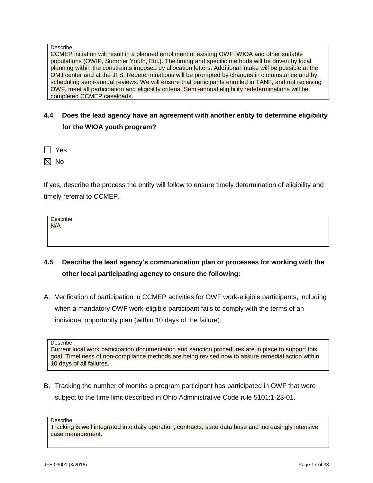CCMEP initiation will result in a planned enrollment of existing OWF, WIOA and other suitable populations (OWIP, Summer Youth, Etc.). The timing and specific methods will be driven by local planning within the constraints imposed by allocation letters. Additional intake will be possible at the OMJ center and at the JFS. Redeterminations will be prompted by changes in circumstance and by scheduling semi-annual reviews. We will ensure that participants enrolled in TANF, and not receiving OWF, meet all participation and eligibility criteria. Semi-annual eligibility redeterminations will be completed CCMEP caseloads.

## **4.4 Does the lead agency have an agreement with another entity to determine eligibility for the WIOA youth program?**

 $\Box$  Yes  $\boxtimes$  No

If yes, describe the process the entity will follow to ensure timely determination of eligibility and timely referral to CCMEP.

| Describe:<br>N/A |  |  |  |
|------------------|--|--|--|
|                  |  |  |  |

## **4.5 Describe the lead agency's communication plan or processes for working with the other local participating agency to ensure the following:**

A. Verification of participation in CCMEP activities for OWF work-eligible participants, including when a mandatory OWF work-eligible participant fails to comply with the terms of an individual opportunity plan (within 10 days of the failure).

Describe:

Current local work participation documentation and sanction procedures are in place to support this goal. Timeliness of non-compliance methods are being revised now to assure remedial action within 10 days of all failures.

B. Tracking the number of months a program participant has participated in OWF that were subject to the time limit described in Ohio Administrative Code rule 5101:1-23-01.

Describe:

Tracking is well integrated into daily operation, contracts, state data base and increasingly intensive case management.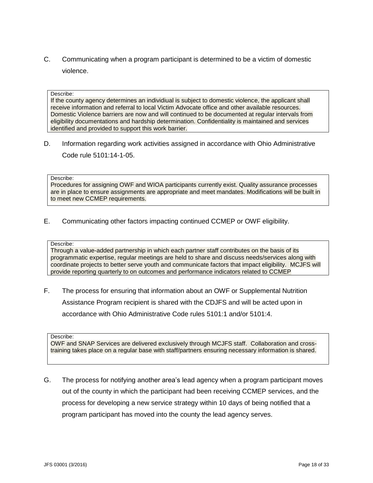C. Communicating when a program participant is determined to be a victim of domestic violence.

#### Describe:

If the county agency determines an individiual is subject to domestic violence, the applicant shall receive information and referral to local Victim Advocate office and other available resources. Domestic Violence barriers are now and will continued to be documented at regular intervals from eligibility documentations and hardship determination. Confidentiality is maintained and services identified and provided to support this work barrier.

D. Information regarding work activities assigned in accordance with Ohio Administrative Code rule 5101:14-1-05.

#### Describe:

Procedures for assigning OWF and WIOA participants currently exist. Quality assurance processes are in place to ensure assignments are appropriate and meet mandates. Modifications will be built in to meet new CCMEP requirements.

E. Communicating other factors impacting continued CCMEP or OWF eligibility.

#### Describe:

Through a value-added partnership in which each partner staff contributes on the basis of its programmatic expertise, regular meetings are held to share and discuss needs/services along with coordinate projects to better serve youth and communicate factors that impact eligibility. MCJFS will provide reporting quarterly to on outcomes and performance indicators related to CCMEP

F. The process for ensuring that information about an OWF or Supplemental Nutrition Assistance Program recipient is shared with the CDJFS and will be acted upon in accordance with Ohio Administrative Code rules 5101:1 and/or 5101:4.

#### Describe:

OWF and SNAP Services are delivered exclusively through MCJFS staff. Collaboration and crosstraining takes place on a regular base with staff/partners ensuring necessary information is shared.

G. The process for notifying another area's lead agency when a program participant moves out of the county in which the participant had been receiving CCMEP services, and the process for developing a new service strategy within 10 days of being notified that a program participant has moved into the county the lead agency serves.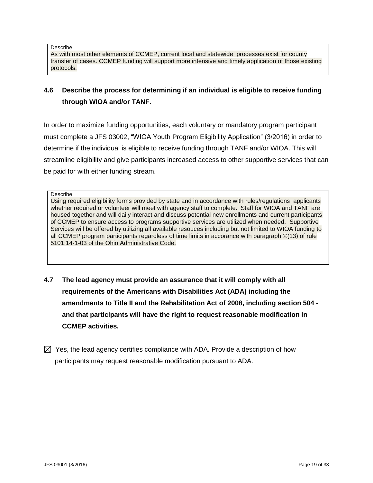As with most other elements of CCMEP, current local and statewide processes exist for county transfer of cases. CCMEP funding will support more intensive and timely application of those existing protocols.

## **4.6 Describe the process for determining if an individual is eligible to receive funding through WIOA and/or TANF.**

In order to maximize funding opportunities, each voluntary or mandatory program participant must complete a JFS 03002, "WIOA Youth Program Eligibility Application" (3/2016) in order to determine if the individual is eligible to receive funding through TANF and/or WIOA. This will streamline eligibility and give participants increased access to other supportive services that can be paid for with either funding stream.

Describe:

Using required eligibility forms provided by state and in accordance with rules/regulations applicants whether required or volunteer will meet with agency staff to complete. Staff for WIOA and TANF are housed together and will daily interact and discuss potential new enrollments and current participants of CCMEP to ensure access to programs supportive services are utilized when needed. Supportive Services will be offered by utilizing all available resouces including but not limited to WIOA funding to all CCMEP program participants regardless of time limits in accorance with paragraph ©(13) of rule 5101:14-1-03 of the Ohio Administrative Code.

- **4.7 The lead agency must provide an assurance that it will comply with all requirements of the Americans with Disabilities Act (ADA) including the amendments to Title II and the Rehabilitation Act of 2008, including section 504 and that participants will have the right to request reasonable modification in CCMEP activities.**
- $\boxtimes$  Yes, the lead agency certifies compliance with ADA. Provide a description of how participants may request reasonable modification pursuant to ADA.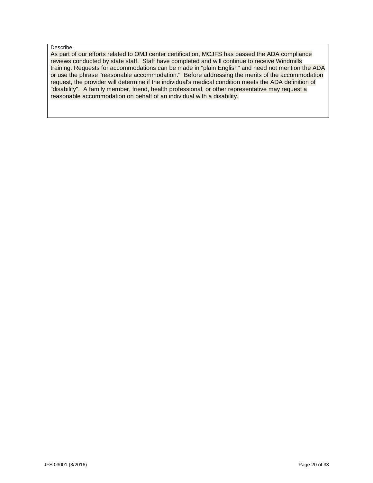As part of our efforts related to OMJ center certification, MCJFS has passed the ADA compliance reviews conducted by state staff. Staff have completed and will continue to receive Windmills training. Requests for accommodations can be made in "plain English" and need not mention the ADA or use the phrase "reasonable accommodation." Before addressing the merits of the accommodation request, the provider will determine if the individual's medical condition meets the ADA definition of "disability". A family member, friend, health professional, or other representative may request a reasonable accommodation on behalf of an individual with a disability.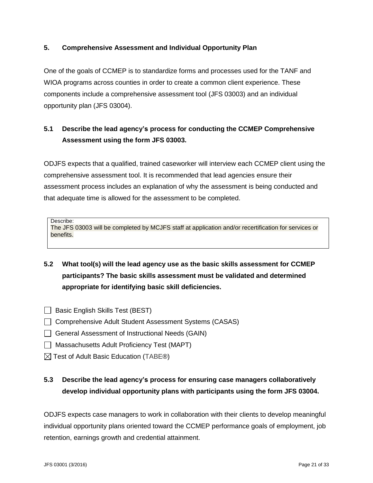## <span id="page-20-0"></span>**5. Comprehensive Assessment and Individual Opportunity Plan**

One of the goals of CCMEP is to standardize forms and processes used for the TANF and WIOA programs across counties in order to create a common client experience. These components include a comprehensive assessment tool (JFS 03003) and an individual opportunity plan (JFS 03004).

# **5.1 Describe the lead agency's process for conducting the CCMEP Comprehensive Assessment using the form JFS 03003.**

ODJFS expects that a qualified, trained caseworker will interview each CCMEP client using the comprehensive assessment tool. It is recommended that lead agencies ensure their assessment process includes an explanation of why the assessment is being conducted and that adequate time is allowed for the assessment to be completed.

Describe: The JFS 03003 will be completed by MCJFS staff at application and/or recertification for services or benefits.

- **5.2 What tool(s) will the lead agency use as the basic skills assessment for CCMEP participants? The basic skills assessment must be validated and determined appropriate for identifying basic skill deficiencies.**
- $\Box$  Basic English Skills Test (BEST)
- □ Comprehensive Adult Student Assessment Systems (CASAS)
- General Assessment of Instructional Needs (GAIN)
- □ Massachusetts Adult Proficiency Test (MAPT)
- $\boxtimes$  Test of Adult Basic Education (TABE®)

# **5.3 Describe the lead agency's process for ensuring case managers collaboratively develop individual opportunity plans with participants using the form JFS 03004.**

ODJFS expects case managers to work in collaboration with their clients to develop meaningful individual opportunity plans oriented toward the CCMEP performance goals of employment, job retention, earnings growth and credential attainment.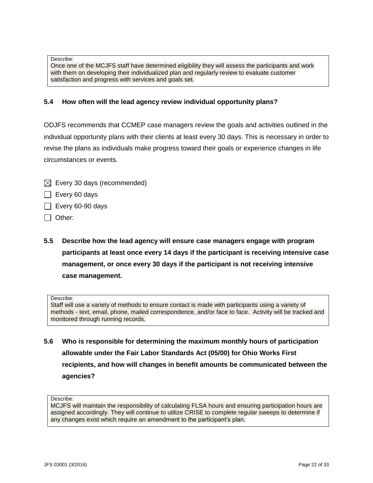Once one of the MCJFS staff have determined eligibility they will assess the participants and work with them on developing their individualized plan and regularly review to evaluate customer satisfaction and progress with services and goals set.

### **5.4 How often will the lead agency review individual opportunity plans?**

ODJFS recommends that CCMEP case managers review the goals and activities outlined in the individual opportunity plans with their clients at least every 30 days. This is necessary in order to revise the plans as individuals make progress toward their goals or experience changes in life circumstances or events.

- $\boxtimes$  Every 30 days (recommended)
- $\Box$  Every 60 days
- $\Box$  Every 60-90 days
- $\Box$  Other:
- **5.5 Describe how the lead agency will ensure case managers engage with program participants at least once every 14 days if the participant is receiving intensive case management, or once every 30 days if the participant is not receiving intensive case management.**

Describe:

Staff will use a variety of methods to ensure contact is made with participants using a variety of methods - text, email, phone, mailed correspondence, and/or face to face. Activity will be tracked and monitored through running records.

**5.6 Who is responsible for determining the maximum monthly hours of participation allowable under the Fair Labor Standards Act (05/00) for Ohio Works First recipients, and how will changes in benefit amounts be communicated between the agencies?**

Describe:

MCJFS will maintain the responsibility of calculating FLSA hours and ensuring participation hours are assigned accordingly. They will continue to utilize CRISE to complete regular sweeps to determine if any changes exist which require an amendment to the participant's plan.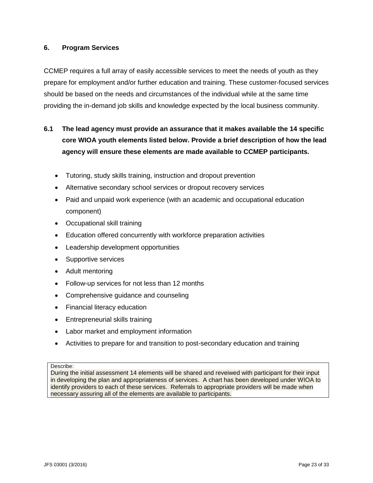## <span id="page-22-0"></span>**6. Program Services**

CCMEP requires a full array of easily accessible services to meet the needs of youth as they prepare for employment and/or further education and training. These customer-focused services should be based on the needs and circumstances of the individual while at the same time providing the in-demand job skills and knowledge expected by the local business community.

# **6.1 The lead agency must provide an assurance that it makes available the 14 specific core WIOA youth elements listed below. Provide a brief description of how the lead agency will ensure these elements are made available to CCMEP participants.**

- Tutoring, study skills training, instruction and dropout prevention
- Alternative secondary school services or dropout recovery services
- Paid and unpaid work experience (with an academic and occupational education component)
- Occupational skill training
- Education offered concurrently with workforce preparation activities
- Leadership development opportunities
- Supportive services
- Adult mentoring
- Follow-up services for not less than 12 months
- Comprehensive guidance and counseling
- Financial literacy education
- Entrepreneurial skills training
- Labor market and employment information
- Activities to prepare for and transition to post-secondary education and training

### Describe:

During the initial assessment 14 elements will be shared and reveiwed with participant for their input in developing the plan and appropriateness of services. A chart has been developed under WIOA to identify providers to each of these services. Referrals to appropriate providers will be made when necessary assuring all of the elements are available to participants.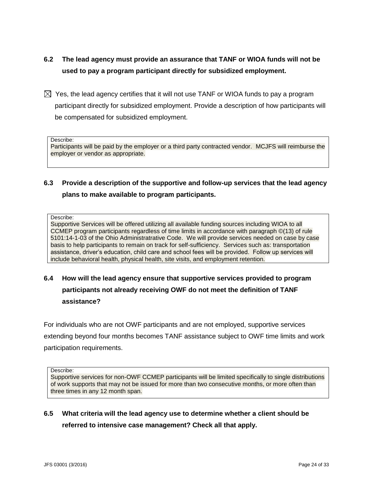# **6.2 The lead agency must provide an assurance that TANF or WIOA funds will not be used to pay a program participant directly for subsidized employment.**

 $\boxtimes$  Yes, the lead agency certifies that it will not use TANF or WIOA funds to pay a program participant directly for subsidized employment. Provide a description of how participants will be compensated for subsidized employment.

#### Describe:

Participants will be paid by the employer or a third party contracted vendor. MCJFS will reimburse the employer or vendor as appropriate.

## **6.3 Provide a description of the supportive and follow-up services that the lead agency plans to make available to program participants.**

Describe:

Supportive Services will be offered utilizing all available funding sources including WIOA to all CCMEP program participants regardless of time limits in accordance with paragraph ©(13) of rule 5101:14-1-03 of the Ohio Administratrative Code. We will provide services needed on case by case basis to help participants to remain on track for self-sufficiency. Services such as: transportation assistance, driver's education, child care and school fees will be provided. Follow up services will include behavioral health, physical health, site visits, and employment retention.

# **6.4 How will the lead agency ensure that supportive services provided to program participants not already receiving OWF do not meet the definition of TANF assistance?**

For individuals who are not OWF participants and are not employed, supportive services extending beyond four months becomes TANF assistance subject to OWF time limits and work participation requirements.

Describe:

Supportive services for non-OWF CCMEP participants will be limited specifically to single distributions of work supports that may not be issued for more than two consecutive months, or more often than three times in any 12 month span.

# **6.5 What criteria will the lead agency use to determine whether a client should be referred to intensive case management? Check all that apply.**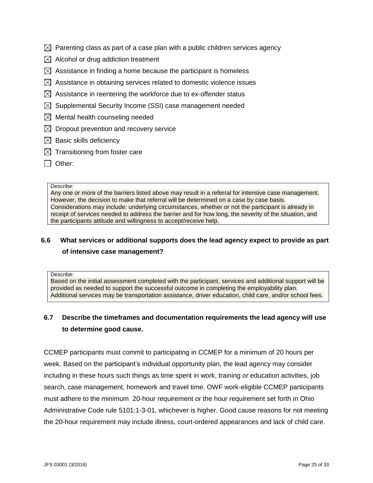- $\boxtimes$  Parenting class as part of a case plan with a public children services agency
- $\boxtimes$  Alcohol or drug addiction treatment
- $\boxtimes$  Assistance in finding a home because the participant is homeless
- $\boxtimes$  Assistance in obtaining services related to domestic violence issues
- $\boxtimes$  Assistance in reentering the workforce due to ex-offender status
- $\boxtimes$  Supplemental Security Income (SSI) case management needed
- $\boxtimes$  Mental health counseling needed
- $\boxtimes$  Dropout prevention and recovery service
- $\boxtimes$  Basic skills deficiency
- $\boxtimes$  Transitioning from foster care
- □ Other:

Any one or more of the barriers listed above may result in a referral for intensive case management. However, the decision to make that referral will be determined on a case by case basis. Considerations may include: underlying circumstances, whether or not the participant is already in receipt of services needed to address the barrier and for how long, the severity of the situation, and the participants attitude and willingness to accept/receive help.

## **6.6 What services or additional supports does the lead agency expect to provide as part of intensive case management?**

Describe:

Based on the initial assessment completed with the participant, services and additional support will be provided as needed to support the successful outcome in completing the employability plan. Additional services may be transportation assistance, driver education, child care, and/or school fees.

## **6.7 Describe the timeframes and documentation requirements the lead agency will use to determine good cause.**

CCMEP participants must commit to participating in CCMEP for a minimum of 20 hours per week. Based on the participant's individual opportunity plan, the lead agency may consider including in these hours such things as time spent in work, training or education activities, job search, case management, homework and travel time. OWF work-eligible CCMEP participants must adhere to the minimum 20-hour requirement or the hour requirement set forth in Ohio Administrative Code rule 5101:1-3-01, whichever is higher. Good cause reasons for not meeting the 20-hour requirement may include illness, court-ordered appearances and lack of child care.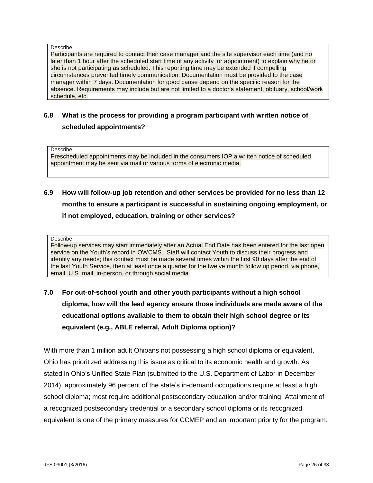Participants are required to contact their case manager and the site supervisor each time (and no later than 1 hour after the scheduled start time of any activity or appointment) to explain why he or she is not participating as scheduled. This reporting time may be extended if compelling circumstances prevented timely communication. Documentation must be provided to the case manager within 7 days. Documentation for good cause depend on the specific reason for the absence. Requirements may include but are not limited to a doctor's statement, obituary, school/work schedule, etc.

# **6.8 What is the process for providing a program participant with written notice of**

## **scheduled appointments?**

Describe:

Prescheduled appointments may be included in the consumers IOP a written notice of scheduled appointment may be sent via mail or various forms of electronic media.

# **6.9 How will follow-up job retention and other services be provided for no less than 12 months to ensure a participant is successful in sustaining ongoing employment, or if not employed, education, training or other services?**

Describe:

Follow-up services may start immediately after an Actual End Date has been entered for the last open service on the Youth's record in OWCMS. Staff will contact Youth to discuss their progress and identify any needs; this contact must be made several times within the first 90 days after the end of the last Youth Service, then at least once a quarter for the twelve month follow up period, via phone, email, U.S. mail, in-person, or through social media.

# **7.0 For out-of-school youth and other youth participants without a high school diploma, how will the lead agency ensure those individuals are made aware of the educational options available to them to obtain their high school degree or its equivalent (e.g., ABLE referral, Adult Diploma option)?**

With more than 1 million adult Ohioans not possessing a high school diploma or equivalent, Ohio has prioritized addressing this issue as critical to its economic health and growth. As stated in Ohio's Unified State Plan (submitted to the U.S. Department of Labor in December 2014), approximately 96 percent of the state's in-demand occupations require at least a high school diploma; most require additional postsecondary education and/or training. Attainment of a recognized postsecondary credential or a secondary school diploma or its recognized equivalent is one of the primary measures for CCMEP and an important priority for the program.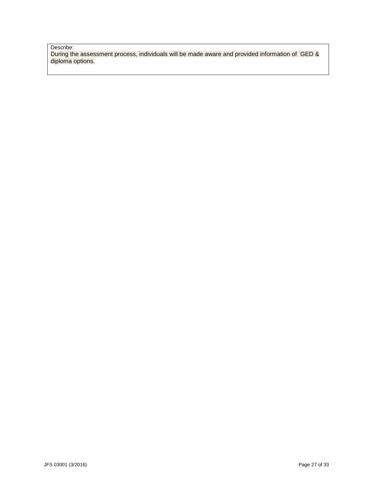During the assessment process, individuals will be made aware and provided information of GED & diploma options.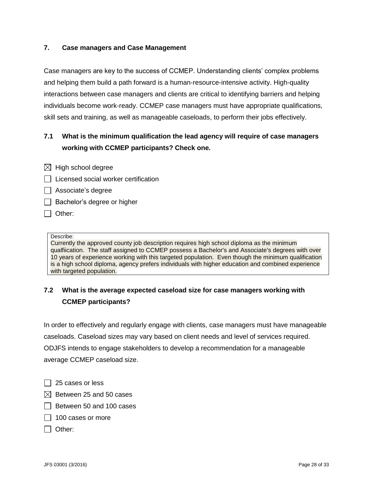## <span id="page-27-0"></span>**7. Case managers and Case Management**

Case managers are key to the success of CCMEP. Understanding clients' complex problems and helping them build a path forward is a human-resource-intensive activity. High-quality interactions between case managers and clients are critical to identifying barriers and helping individuals become work-ready. CCMEP case managers must have appropriate qualifications, skill sets and training, as well as manageable caseloads, to perform their jobs effectively.

# **7.1 What is the minimum qualification the lead agency will require of case managers working with CCMEP participants? Check one.**

- $\boxtimes$  High school degree
- $\Box$  Licensed social worker certification
- Associate's degree
- $\Box$  Bachelor's degree or higher
- □ Other:

### Describe:

Currently the approved county job description requires high school diploma as the minimum qualfiication. The staff assigned to CCMEP possess a Bachelor's and Associate's degrees with over 10 years of experience working with this targeted population. Even though the minimum qualification is a high school diploma, agency prefers individuals with higher education and combined experience with targeted population.

## **7.2 What is the average expected caseload size for case managers working with CCMEP participants?**

In order to effectively and regularly engage with clients, case managers must have manageable caseloads. Caseload sizes may vary based on client needs and level of services required. ODJFS intends to engage stakeholders to develop a recommendation for a manageable average CCMEP caseload size.

- $\Box$  25 cases or less
- $\boxtimes$  Between 25 and 50 cases
- $\Box$  Between 50 and 100 cases
- $\Box$  100 cases or more
- □ Other: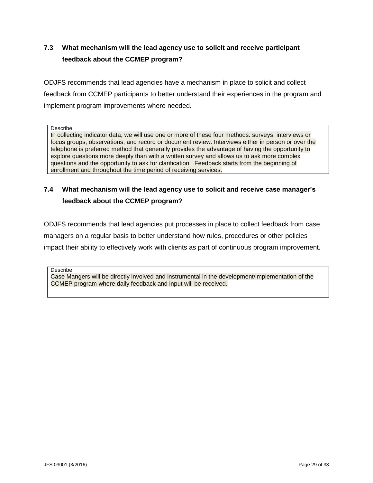# **7.3 What mechanism will the lead agency use to solicit and receive participant feedback about the CCMEP program?**

ODJFS recommends that lead agencies have a mechanism in place to solicit and collect feedback from CCMEP participants to better understand their experiences in the program and implement program improvements where needed.

Describe:

In collecting indicator data, we will use one or more of these four methods: surveys, interviews or focus groups, observations, and record or document review. Interviews either in person or over the telephone is preferred method that generally provides the advantage of having the opportunity to explore questions more deeply than with a written survey and allows us to ask more complex questions and the opportunity to ask for clarification. Feedback starts from the beginning of enrollment and throughout the time period of receiving services.

## **7.4 What mechanism will the lead agency use to solicit and receive case manager's feedback about the CCMEP program?**

ODJFS recommends that lead agencies put processes in place to collect feedback from case managers on a regular basis to better understand how rules, procedures or other policies impact their ability to effectively work with clients as part of continuous program improvement.

Describe:

Case Mangers will be directly involved and instrumental in the development/implementation of the CCMEP program where daily feedback and input will be received.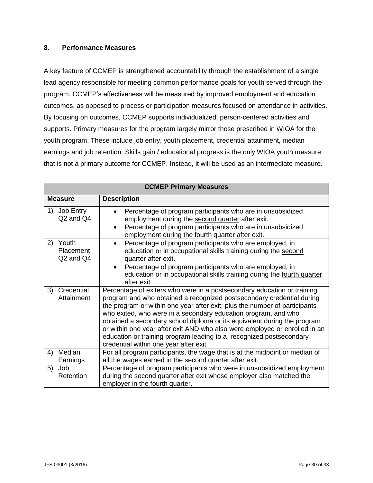### <span id="page-29-0"></span>**8. Performance Measures**

A key feature of CCMEP is strengthened accountability through the establishment of a single lead agency responsible for meeting common performance goals for youth served through the program. CCMEP's effectiveness will be measured by improved employment and education outcomes, as opposed to process or participation measures focused on attendance in activities. By focusing on outcomes, CCMEP supports individualized, person-centered activities and supports. Primary measures for the program largely mirror those prescribed in WIOA for the youth program. These include job entry, youth placement, credential attainment, median earnings and job retention. Skills gain / educational progress is the only WIOA youth measure that is not a primary outcome for CCMEP. Instead, it will be used as an intermediate measure.

| <b>CCMEP Primary Measures</b>                        |                                                                                                                                                                                                                                                                                                                                                                                                                                                                                                                                                                             |  |  |  |
|------------------------------------------------------|-----------------------------------------------------------------------------------------------------------------------------------------------------------------------------------------------------------------------------------------------------------------------------------------------------------------------------------------------------------------------------------------------------------------------------------------------------------------------------------------------------------------------------------------------------------------------------|--|--|--|
| <b>Measure</b>                                       | <b>Description</b>                                                                                                                                                                                                                                                                                                                                                                                                                                                                                                                                                          |  |  |  |
| 1)<br>Job Entry<br>Q <sub>2</sub> and Q <sub>4</sub> | Percentage of program participants who are in unsubsidized<br>$\bullet$<br>employment during the second quarter after exit.<br>Percentage of program participants who are in unsubsidized<br>$\bullet$<br>employment during the fourth quarter after exit.                                                                                                                                                                                                                                                                                                                  |  |  |  |
| 2)<br>Youth<br>Placement<br>Q2 and Q4                | Percentage of program participants who are employed, in<br>$\bullet$<br>education or in occupational skills training during the second<br>quarter after exit.<br>Percentage of program participants who are employed, in<br>$\bullet$<br>education or in occupational skills training during the fourth quarter<br>after exit.                                                                                                                                                                                                                                              |  |  |  |
| Credential<br>3)<br>Attainment                       | Percentage of exiters who were in a postsecondary education or training<br>program and who obtained a recognized postsecondary credential during<br>the program or within one year after exit; plus the number of participants<br>who exited, who were in a secondary education program, and who<br>obtained a secondary school diploma or its equivalent during the program<br>or within one year after exit AND who also were employed or enrolled in an<br>education or training program leading to a recognized postsecondary<br>credential within one year after exit. |  |  |  |
| Median<br>4)<br>Earnings                             | For all program participants, the wage that is at the midpoint or median of<br>all the wages earned in the second quarter after exit.                                                                                                                                                                                                                                                                                                                                                                                                                                       |  |  |  |
| 5)<br>Job<br>Retention                               | Percentage of program participants who were in unsubsidized employment<br>during the second quarter after exit whose employer also matched the<br>employer in the fourth quarter.                                                                                                                                                                                                                                                                                                                                                                                           |  |  |  |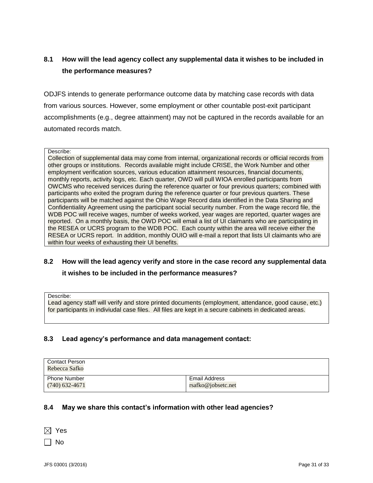# **8.1 How will the lead agency collect any supplemental data it wishes to be included in the performance measures?**

ODJFS intends to generate performance outcome data by matching case records with data from various sources. However, some employment or other countable post-exit participant accomplishments (e.g., degree attainment) may not be captured in the records available for an automated records match.

#### Describe:

Collection of supplemental data may come from internal, organizational records or official records from other groups or institutions. Records available might include CRISE, the Work Number and other employment verification sources, various education attainment resources, financial documents, monthly reports, activity logs, etc. Each quarter, OWD will pull WIOA enrolled participants from OWCMS who received services during the reference quarter or four previous quarters; combined with participants who exited the program during the reference quarter or four previous quarters. These participants will be matched against the Ohio Wage Record data identified in the Data Sharing and Confidentiality Agreement using the participant social security number. From the wage record file, the WDB POC will receive wages, number of weeks worked, year wages are reported, quarter wages are reported. On a monthly basis, the OWD POC will email a list of UI claimants who are participating in the RESEA or UCRS program to the WDB POC. Each county within the area will receive either the RESEA or UCRS report. In addition, monthly OUIO will e-mail a report that lists UI claimants who are within four weeks of exhausting their UI benefits.

# **8.2 How will the lead agency verify and store in the case record any supplemental data it wishes to be included in the performance measures?**

Describe:

Lead agency staff will verify and store printed documents (employment, attendance, good cause, etc.) for participants in indiviudal case files. All files are kept in a secure cabinets in dedicated areas.

## **8.3 Lead agency's performance and data management contact:**

| Contact Person<br>Rebecca Safko |                    |
|---------------------------------|--------------------|
| <b>Phone Number</b>             | Email Address      |
| $(740)$ 632-4671                | rsafko@jobsetc.net |

## **8.4 May we share this contact's information with other lead agencies?**

- $\boxtimes$  Yes
- $\Box$  No